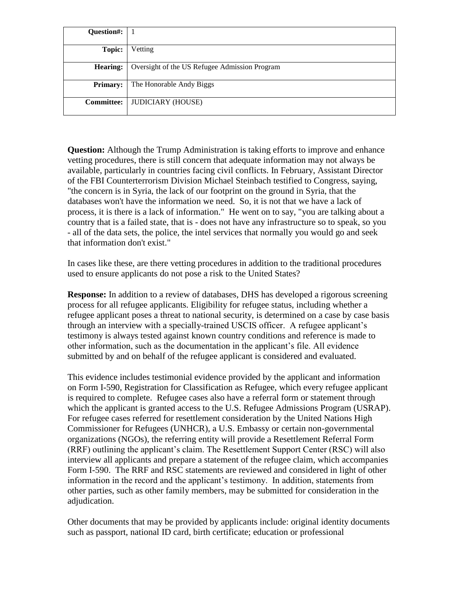| Question#:        |                                               |
|-------------------|-----------------------------------------------|
| Topic:            | Vetting                                       |
| <b>Hearing:</b>   | Oversight of the US Refugee Admission Program |
| <b>Primary:</b>   | The Honorable Andy Biggs                      |
| <b>Committee:</b> | <b>JUDICIARY (HOUSE)</b>                      |

**Question:** Although the Trump Administration is taking efforts to improve and enhance vetting procedures, there is still concern that adequate information may not always be available, particularly in countries facing civil conflicts. In February, Assistant Director of the FBI Counterterrorism Division Michael Steinbach testified to Congress, saying, "the concern is in Syria, the lack of our footprint on the ground in Syria, that the databases won't have the information we need. So, it is not that we have a lack of process, it is there is a lack of information." He went on to say, "you are talking about a country that is a failed state, that is - does not have any infrastructure so to speak, so you - all of the data sets, the police, the intel services that normally you would go and seek that information don't exist."

In cases like these, are there vetting procedures in addition to the traditional procedures used to ensure applicants do not pose a risk to the United States?

**Response:** In addition to a review of databases, DHS has developed a rigorous screening process for all refugee applicants. Eligibility for refugee status, including whether a refugee applicant poses a threat to national security, is determined on a case by case basis through an interview with a specially-trained USCIS officer. A refugee applicant's testimony is always tested against known country conditions and reference is made to other information, such as the documentation in the applicant's file. All evidence submitted by and on behalf of the refugee applicant is considered and evaluated.

This evidence includes testimonial evidence provided by the applicant and information on Form I-590, Registration for Classification as Refugee, which every refugee applicant is required to complete. Refugee cases also have a referral form or statement through which the applicant is granted access to the U.S. Refugee Admissions Program (USRAP). For refugee cases referred for resettlement consideration by the United Nations High Commissioner for Refugees (UNHCR), a U.S. Embassy or certain non-governmental organizations (NGOs), the referring entity will provide a Resettlement Referral Form (RRF) outlining the applicant's claim. The Resettlement Support Center (RSC) will also interview all applicants and prepare a statement of the refugee claim, which accompanies Form I-590. The RRF and RSC statements are reviewed and considered in light of other information in the record and the applicant's testimony. In addition, statements from other parties, such as other family members, may be submitted for consideration in the adjudication.

Other documents that may be provided by applicants include: original identity documents such as passport, national ID card, birth certificate; education or professional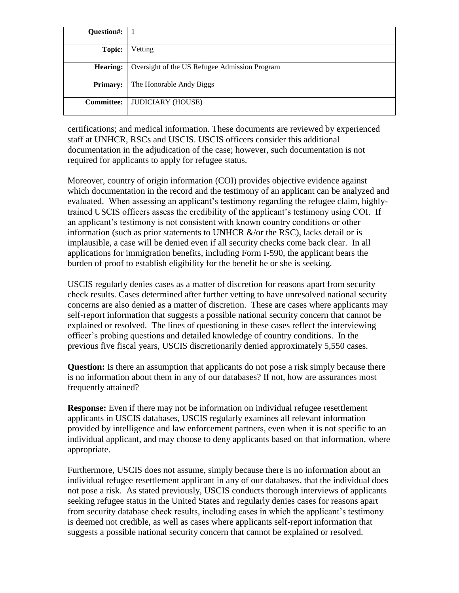| Question#:        |                                               |
|-------------------|-----------------------------------------------|
| Topic:            | Vetting                                       |
| <b>Hearing:</b>   | Oversight of the US Refugee Admission Program |
| <b>Primary:</b>   | The Honorable Andy Biggs                      |
| <b>Committee:</b> | <b>JUDICIARY (HOUSE)</b>                      |

certifications; and medical information. These documents are reviewed by experienced staff at UNHCR, RSCs and USCIS. USCIS officers consider this additional documentation in the adjudication of the case; however, such documentation is not required for applicants to apply for refugee status.

Moreover, country of origin information (COI) provides objective evidence against which documentation in the record and the testimony of an applicant can be analyzed and evaluated. When assessing an applicant's testimony regarding the refugee claim, highlytrained USCIS officers assess the credibility of the applicant's testimony using COI. If an applicant's testimony is not consistent with known country conditions or other information (such as prior statements to UNHCR  $\&$ /or the RSC), lacks detail or is implausible, a case will be denied even if all security checks come back clear. In all applications for immigration benefits, including Form I-590, the applicant bears the burden of proof to establish eligibility for the benefit he or she is seeking.

USCIS regularly denies cases as a matter of discretion for reasons apart from security check results. Cases determined after further vetting to have unresolved national security concerns are also denied as a matter of discretion. These are cases where applicants may self-report information that suggests a possible national security concern that cannot be explained or resolved. The lines of questioning in these cases reflect the interviewing officer's probing questions and detailed knowledge of country conditions. In the previous five fiscal years, USCIS discretionarily denied approximately 5,550 cases.

**Question:** Is there an assumption that applicants do not pose a risk simply because there is no information about them in any of our databases? If not, how are assurances most frequently attained?

**Response:** Even if there may not be information on individual refugee resettlement applicants in USCIS databases, USCIS regularly examines all relevant information provided by intelligence and law enforcement partners, even when it is not specific to an individual applicant, and may choose to deny applicants based on that information, where appropriate.

Furthermore, USCIS does not assume, simply because there is no information about an individual refugee resettlement applicant in any of our databases, that the individual does not pose a risk. As stated previously, USCIS conducts thorough interviews of applicants seeking refugee status in the United States and regularly denies cases for reasons apart from security database check results, including cases in which the applicant's testimony is deemed not credible, as well as cases where applicants self-report information that suggests a possible national security concern that cannot be explained or resolved.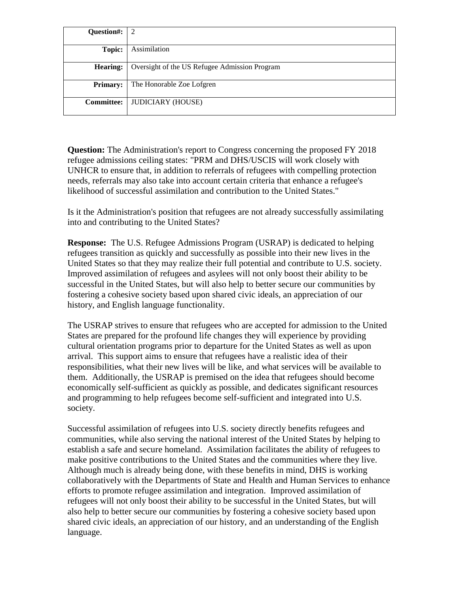| Question#:        | 2                                             |
|-------------------|-----------------------------------------------|
| Topic:            | Assimilation                                  |
| <b>Hearing:</b>   | Oversight of the US Refugee Admission Program |
| <b>Primary:</b>   | The Honorable Zoe Lofgren                     |
| <b>Committee:</b> | <b>JUDICIARY (HOUSE)</b>                      |

**Question:** The Administration's report to Congress concerning the proposed FY 2018 refugee admissions ceiling states: "PRM and DHS/USCIS will work closely with UNHCR to ensure that, in addition to referrals of refugees with compelling protection needs, referrals may also take into account certain criteria that enhance a refugee's likelihood of successful assimilation and contribution to the United States."

Is it the Administration's position that refugees are not already successfully assimilating into and contributing to the United States?

**Response:** The U.S. Refugee Admissions Program (USRAP) is dedicated to helping refugees transition as quickly and successfully as possible into their new lives in the United States so that they may realize their full potential and contribute to U.S. society. Improved assimilation of refugees and asylees will not only boost their ability to be successful in the United States, but will also help to better secure our communities by fostering a cohesive society based upon shared civic ideals, an appreciation of our history, and English language functionality.

The USRAP strives to ensure that refugees who are accepted for admission to the United States are prepared for the profound life changes they will experience by providing cultural orientation programs prior to departure for the United States as well as upon arrival. This support aims to ensure that refugees have a realistic idea of their responsibilities, what their new lives will be like, and what services will be available to them. Additionally, the USRAP is premised on the idea that refugees should become economically self-sufficient as quickly as possible, and dedicates significant resources and programming to help refugees become self-sufficient and integrated into U.S. society.

Successful assimilation of refugees into U.S. society directly benefits refugees and communities, while also serving the national interest of the United States by helping to establish a safe and secure homeland. Assimilation facilitates the ability of refugees to make positive contributions to the United States and the communities where they live. Although much is already being done, with these benefits in mind, DHS is working collaboratively with the Departments of State and Health and Human Services to enhance efforts to promote refugee assimilation and integration. Improved assimilation of refugees will not only boost their ability to be successful in the United States, but will also help to better secure our communities by fostering a cohesive society based upon shared civic ideals, an appreciation of our history, and an understanding of the English language.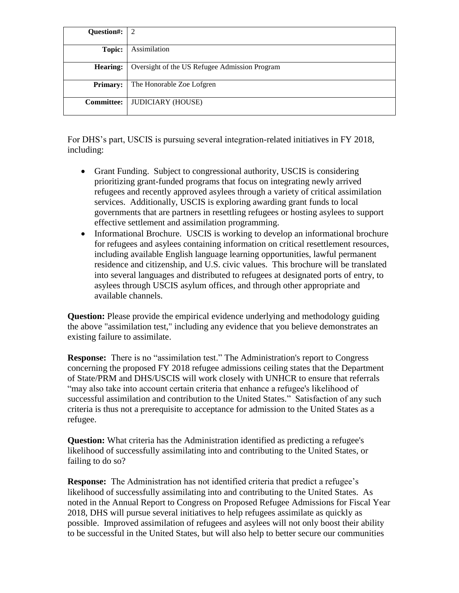| Question#:        | $\sqrt{2}$                                    |
|-------------------|-----------------------------------------------|
| Topic:            | Assimilation                                  |
| <b>Hearing:</b>   | Oversight of the US Refugee Admission Program |
| <b>Primary:</b>   | The Honorable Zoe Lofgren                     |
| <b>Committee:</b> | <b>JUDICIARY (HOUSE)</b>                      |

For DHS's part, USCIS is pursuing several integration-related initiatives in FY 2018, including:

- Grant Funding. Subject to congressional authority, USCIS is considering prioritizing grant-funded programs that focus on integrating newly arrived refugees and recently approved asylees through a variety of critical assimilation services. Additionally, USCIS is exploring awarding grant funds to local governments that are partners in resettling refugees or hosting asylees to support effective settlement and assimilation programming.
- Informational Brochure. USCIS is working to develop an informational brochure for refugees and asylees containing information on critical resettlement resources, including available English language learning opportunities, lawful permanent residence and citizenship, and U.S. civic values. This brochure will be translated into several languages and distributed to refugees at designated ports of entry, to asylees through USCIS asylum offices, and through other appropriate and available channels.

**Question:** Please provide the empirical evidence underlying and methodology guiding the above "assimilation test," including any evidence that you believe demonstrates an existing failure to assimilate.

**Response:** There is no "assimilation test." The Administration's report to Congress concerning the proposed FY 2018 refugee admissions ceiling states that the Department of State/PRM and DHS/USCIS will work closely with UNHCR to ensure that referrals "may also take into account certain criteria that enhance a refugee's likelihood of successful assimilation and contribution to the United States." Satisfaction of any such criteria is thus not a prerequisite to acceptance for admission to the United States as a refugee.

**Question:** What criteria has the Administration identified as predicting a refugee's likelihood of successfully assimilating into and contributing to the United States, or failing to do so?

**Response:** The Administration has not identified criteria that predict a refugee's likelihood of successfully assimilating into and contributing to the United States. As noted in the Annual Report to Congress on Proposed Refugee Admissions for Fiscal Year 2018, DHS will pursue several initiatives to help refugees assimilate as quickly as possible. Improved assimilation of refugees and asylees will not only boost their ability to be successful in the United States, but will also help to better secure our communities